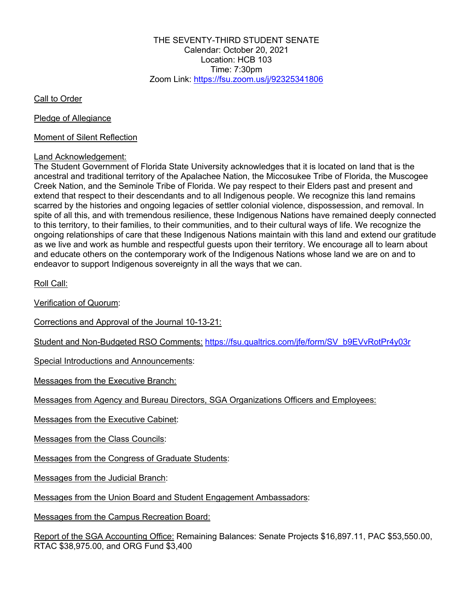THE SEVENTY-THIRD STUDENT SENATE Calendar: October 20, 2021 Location: HCB 103 Time: 7:30pm Zoom Link: https://fsu.zoom.us/j/92325341806

Call to Order

Pledge of Allegiance

Moment of Silent Reflection

#### Land Acknowledgement:

The Student Government of Florida State University acknowledges that it is located on land that is the ancestral and traditional territory of the Apalachee Nation, the Miccosukee Tribe of Florida, the Muscogee Creek Nation, and the Seminole Tribe of Florida. We pay respect to their Elders past and present and extend that respect to their descendants and to all Indigenous people. We recognize this land remains scarred by the histories and ongoing legacies of settler colonial violence, dispossession, and removal. In spite of all this, and with tremendous resilience, these Indigenous Nations have remained deeply connected to this territory, to their families, to their communities, and to their cultural ways of life. We recognize the ongoing relationships of care that these Indigenous Nations maintain with this land and extend our gratitude as we live and work as humble and respectful guests upon their territory. We encourage all to learn about and educate others on the contemporary work of the Indigenous Nations whose land we are on and to endeavor to support Indigenous sovereignty in all the ways that we can.

Roll Call:

Verification of Quorum:

Corrections and Approval of the Journal 10-13-21:

Student and Non-Budgeted RSO Comments: https://fsu.qualtrics.com/jfe/form/SV\_b9EVvRotPr4y03r

Special Introductions and Announcements:

Messages from the Executive Branch:

Messages from Agency and Bureau Directors, SGA Organizations Officers and Employees:

Messages from the Executive Cabinet:

Messages from the Class Councils:

Messages from the Congress of Graduate Students:

Messages from the Judicial Branch:

Messages from the Union Board and Student Engagement Ambassadors:

Messages from the Campus Recreation Board:

Report of the SGA Accounting Office: Remaining Balances: Senate Projects \$16,897.11, PAC \$53,550.00, RTAC \$38,975.00, and ORG Fund \$3,400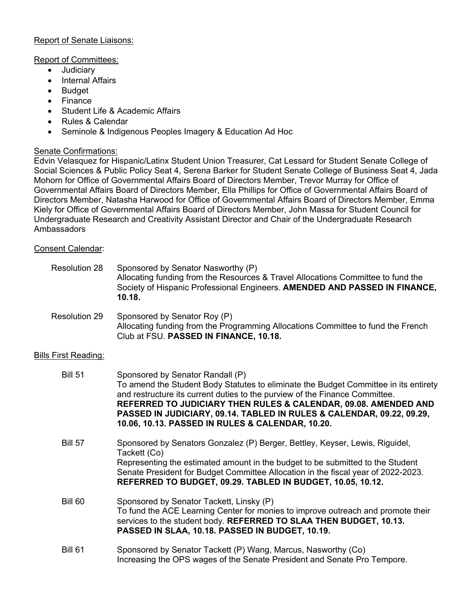#### Report of Senate Liaisons:

## Report of Committees:

- Judiciary
- Internal Affairs
- Budget
- Finance
- Student Life & Academic Affairs
- Rules & Calendar
- Seminole & Indigenous Peoples Imagery & Education Ad Hoc

# Senate Confirmations:

Edvin Velasquez for Hispanic/Latinx Student Union Treasurer, Cat Lessard for Student Senate College of Social Sciences & Public Policy Seat 4, Serena Barker for Student Senate College of Business Seat 4, Jada Mohorn for Office of Governmental Affairs Board of Directors Member, Trevor Murray for Office of Governmental Affairs Board of Directors Member, Ella Phillips for Office of Governmental Affairs Board of Directors Member, Natasha Harwood for Office of Governmental Affairs Board of Directors Member, Emma Kiely for Office of Governmental Affairs Board of Directors Member, John Massa for Student Council for Undergraduate Research and Creativity Assistant Director and Chair of the Undergraduate Research Ambassadors

# Consent Calendar:

| <b>Resolution 28</b>        | Sponsored by Senator Nasworthy (P)<br>Allocating funding from the Resources & Travel Allocations Committee to fund the<br>Society of Hispanic Professional Engineers. AMENDED AND PASSED IN FINANCE,<br>10.18.                                                                                                                                                                                          |
|-----------------------------|---------------------------------------------------------------------------------------------------------------------------------------------------------------------------------------------------------------------------------------------------------------------------------------------------------------------------------------------------------------------------------------------------------|
| <b>Resolution 29</b>        | Sponsored by Senator Roy (P)<br>Allocating funding from the Programming Allocations Committee to fund the French<br>Club at FSU. PASSED IN FINANCE, 10.18.                                                                                                                                                                                                                                              |
| <b>Bills First Reading:</b> |                                                                                                                                                                                                                                                                                                                                                                                                         |
| <b>Bill 51</b>              | Sponsored by Senator Randall (P)<br>To amend the Student Body Statutes to eliminate the Budget Committee in its entirety<br>and restructure its current duties to the purview of the Finance Committee.<br>REFERRED TO JUDICIARY THEN RULES & CALENDAR, 09.08. AMENDED AND<br>PASSED IN JUDICIARY, 09.14. TABLED IN RULES & CALENDAR, 09.22, 09.29,<br>10.06, 10.13. PASSED IN RULES & CALENDAR, 10.20. |
| <b>Bill 57</b>              | Sponsored by Senators Gonzalez (P) Berger, Bettley, Keyser, Lewis, Riguidel,<br>Tackett (Co)<br>Representing the estimated amount in the budget to be submitted to the Student<br>Senate President for Budget Committee Allocation in the fiscal year of 2022-2023.<br>REFERRED TO BUDGET, 09.29. TABLED IN BUDGET, 10.05, 10.12.                                                                       |
| <b>Bill 60</b>              | Sponsored by Senator Tackett, Linsky (P)<br>To fund the ACE Learning Center for monies to improve outreach and promote their<br>services to the student body. REFERRED TO SLAA THEN BUDGET, 10.13.<br>PASSED IN SLAA, 10.18. PASSED IN BUDGET, 10.19.                                                                                                                                                   |
| <b>Bill 61</b>              | Sponsored by Senator Tackett (P) Wang, Marcus, Nasworthy (Co)<br>Increasing the OPS wages of the Senate President and Senate Pro Tempore.                                                                                                                                                                                                                                                               |